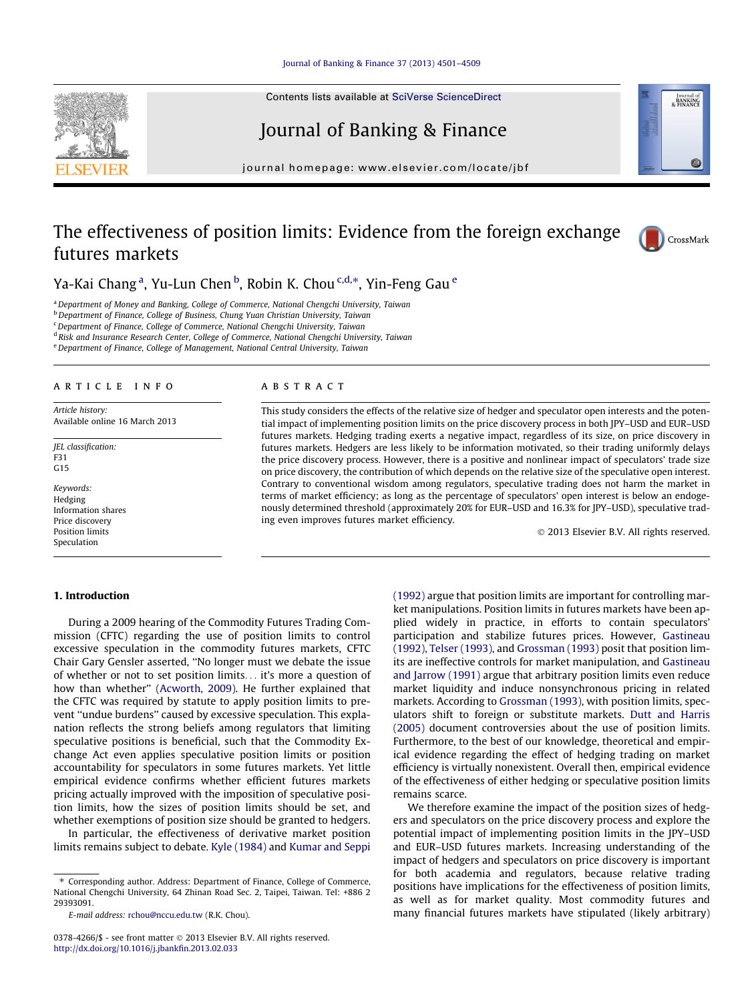#### [Journal of Banking & Finance 37 \(2013\) 4501–4509](http://dx.doi.org/10.1016/j.jbankfin.2013.02.033)

Contents lists available at [SciVerse ScienceDirect](http://www.sciencedirect.com/science/journal/03784266)

# Journal of Banking & Finance

journal homepage: [www.elsevier.com/locate/jbf](http://www.elsevier.com/locate/jbf)

## The effectiveness of position limits: Evidence from the foreign exchange futures markets



Journal of<br>BANKING<br>& FINANCE

Ya-Kai Chang<sup>a</sup>, Yu-Lun Chen <sup>b</sup>, Robin K. Chou <sup>c,d,</sup>\*, Yin-Feng Gau <sup>e</sup>

<sup>a</sup>Department of Money and Banking, College of Commerce, National Chengchi University, Taiwan

**b** Department of Finance, College of Business, Chung Yuan Christian University, Taiwan

<sup>c</sup> Department of Finance, College of Commerce, National Chengchi University, Taiwan

<sup>d</sup> Risk and Insurance Research Center, College of Commerce, National Chengchi University, Taiwan

e Department of Finance, College of Management, National Central University, Taiwan

#### article info

Article history: Available online 16 March 2013

JEL classification: F31 G15

Keywords: Hedging Information shares Price discovery Position limits Speculation

#### **ABSTRACT**

This study considers the effects of the relative size of hedger and speculator open interests and the potential impact of implementing position limits on the price discovery process in both JPY–USD and EUR–USD futures markets. Hedging trading exerts a negative impact, regardless of its size, on price discovery in futures markets. Hedgers are less likely to be information motivated, so their trading uniformly delays the price discovery process. However, there is a positive and nonlinear impact of speculators' trade size on price discovery, the contribution of which depends on the relative size of the speculative open interest. Contrary to conventional wisdom among regulators, speculative trading does not harm the market in terms of market efficiency; as long as the percentage of speculators' open interest is below an endogenously determined threshold (approximately 20% for EUR–USD and 16.3% for JPY–USD), speculative trading even improves futures market efficiency.

- 2013 Elsevier B.V. All rights reserved.

### 1. Introduction

## During a 2009 hearing of the Commodity Futures Trading Commission (CFTC) regarding the use of position limits to control excessive speculation in the commodity futures markets, CFTC Chair Gary Gensler asserted, ''No longer must we debate the issue of whether or not to set position limits... it's more a question of how than whether'' ([Acworth, 2009\)](#page--1-0). He further explained that the CFTC was required by statute to apply position limits to prevent ''undue burdens'' caused by excessive speculation. This explanation reflects the strong beliefs among regulators that limiting speculative positions is beneficial, such that the Commodity Exchange Act even applies speculative position limits or position accountability for speculators in some futures markets. Yet little empirical evidence confirms whether efficient futures markets pricing actually improved with the imposition of speculative position limits, how the sizes of position limits should be set, and whether exemptions of position size should be granted to hedgers.

In particular, the effectiveness of derivative market position limits remains subject to debate. [Kyle \(1984\)](#page--1-0) and [Kumar and Seppi](#page--1-0)

⇑ Corresponding author. Address: Department of Finance, College of Commerce, National Chengchi University, 64 Zhinan Road Sec. 2, Taipei, Taiwan. Tel: +886 2 29393091.

[\(1992\)](#page--1-0) argue that position limits are important for controlling market manipulations. Position limits in futures markets have been applied widely in practice, in efforts to contain speculators' participation and stabilize futures prices. However, [Gastineau](#page--1-0) [\(1992\), Telser \(1993\),](#page--1-0) and [Grossman \(1993\)](#page--1-0) posit that position limits are ineffective controls for market manipulation, and [Gastineau](#page--1-0) [and Jarrow \(1991\)](#page--1-0) argue that arbitrary position limits even reduce market liquidity and induce nonsynchronous pricing in related markets. According to [Grossman \(1993\),](#page--1-0) with position limits, speculators shift to foreign or substitute markets. [Dutt and Harris](#page--1-0) [\(2005\)](#page--1-0) document controversies about the use of position limits. Furthermore, to the best of our knowledge, theoretical and empirical evidence regarding the effect of hedging trading on market efficiency is virtually nonexistent. Overall then, empirical evidence of the effectiveness of either hedging or speculative position limits remains scarce.

We therefore examine the impact of the position sizes of hedgers and speculators on the price discovery process and explore the potential impact of implementing position limits in the JPY–USD and EUR–USD futures markets. Increasing understanding of the impact of hedgers and speculators on price discovery is important for both academia and regulators, because relative trading positions have implications for the effectiveness of position limits, as well as for market quality. Most commodity futures and many financial futures markets have stipulated (likely arbitrary)



E-mail address: [rchou@nccu.edu.tw](mailto:rchou@nccu.edu.tw) (R.K. Chou).

<sup>0378-4266/\$ -</sup> see front matter © 2013 Elsevier B.V. All rights reserved. <http://dx.doi.org/10.1016/j.jbankfin.2013.02.033>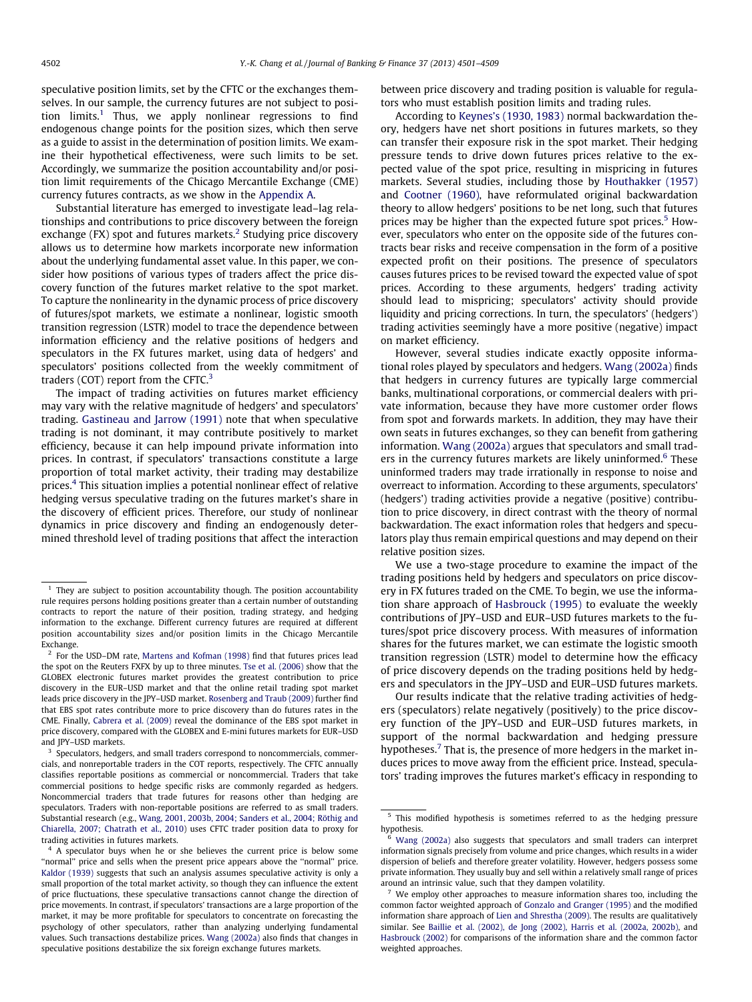speculative position limits, set by the CFTC or the exchanges themselves. In our sample, the currency futures are not subject to position  $limits<sup>1</sup>$ . Thus, we apply nonlinear regressions to find endogenous change points for the position sizes, which then serve as a guide to assist in the determination of position limits. We examine their hypothetical effectiveness, were such limits to be set. Accordingly, we summarize the position accountability and/or position limit requirements of the Chicago Mercantile Exchange (CME) currency futures contracts, as we show in the [Appendix A](#page--1-0).

Substantial literature has emerged to investigate lead–lag relationships and contributions to price discovery between the foreign exchange (FX) spot and futures markets.<sup>2</sup> Studying price discovery allows us to determine how markets incorporate new information about the underlying fundamental asset value. In this paper, we consider how positions of various types of traders affect the price discovery function of the futures market relative to the spot market. To capture the nonlinearity in the dynamic process of price discovery of futures/spot markets, we estimate a nonlinear, logistic smooth transition regression (LSTR) model to trace the dependence between information efficiency and the relative positions of hedgers and speculators in the FX futures market, using data of hedgers' and speculators' positions collected from the weekly commitment of traders (COT) report from the CFTC. $3$ 

The impact of trading activities on futures market efficiency may vary with the relative magnitude of hedgers' and speculators' trading. [Gastineau and Jarrow \(1991\)](#page--1-0) note that when speculative trading is not dominant, it may contribute positively to market efficiency, because it can help impound private information into prices. In contrast, if speculators' transactions constitute a large proportion of total market activity, their trading may destabilize prices.4 This situation implies a potential nonlinear effect of relative hedging versus speculative trading on the futures market's share in the discovery of efficient prices. Therefore, our study of nonlinear dynamics in price discovery and finding an endogenously determined threshold level of trading positions that affect the interaction between price discovery and trading position is valuable for regulators who must establish position limits and trading rules.

According to [Keynes's \(1930, 1983\)](#page--1-0) normal backwardation theory, hedgers have net short positions in futures markets, so they can transfer their exposure risk in the spot market. Their hedging pressure tends to drive down futures prices relative to the expected value of the spot price, resulting in mispricing in futures markets. Several studies, including those by [Houthakker \(1957\)](#page--1-0) and [Cootner \(1960\),](#page--1-0) have reformulated original backwardation theory to allow hedgers' positions to be net long, such that futures prices may be higher than the expected future spot prices.<sup>5</sup> However, speculators who enter on the opposite side of the futures contracts bear risks and receive compensation in the form of a positive expected profit on their positions. The presence of speculators causes futures prices to be revised toward the expected value of spot prices. According to these arguments, hedgers' trading activity should lead to mispricing; speculators' activity should provide liquidity and pricing corrections. In turn, the speculators' (hedgers') trading activities seemingly have a more positive (negative) impact on market efficiency.

However, several studies indicate exactly opposite informational roles played by speculators and hedgers. [Wang \(2002a\)](#page--1-0) finds that hedgers in currency futures are typically large commercial banks, multinational corporations, or commercial dealers with private information, because they have more customer order flows from spot and forwards markets. In addition, they may have their own seats in futures exchanges, so they can benefit from gathering information. [Wang \(2002a\)](#page--1-0) argues that speculators and small traders in the currency futures markets are likely uninformed.<sup>6</sup> These uninformed traders may trade irrationally in response to noise and overreact to information. According to these arguments, speculators' (hedgers') trading activities provide a negative (positive) contribution to price discovery, in direct contrast with the theory of normal backwardation. The exact information roles that hedgers and speculators play thus remain empirical questions and may depend on their relative position sizes.

We use a two-stage procedure to examine the impact of the trading positions held by hedgers and speculators on price discovery in FX futures traded on the CME. To begin, we use the information share approach of [Hasbrouck \(1995\)](#page--1-0) to evaluate the weekly contributions of JPY–USD and EUR–USD futures markets to the futures/spot price discovery process. With measures of information shares for the futures market, we can estimate the logistic smooth transition regression (LSTR) model to determine how the efficacy of price discovery depends on the trading positions held by hedgers and speculators in the JPY–USD and EUR–USD futures markets.

Our results indicate that the relative trading activities of hedgers (speculators) relate negatively (positively) to the price discovery function of the JPY–USD and EUR–USD futures markets, in support of the normal backwardation and hedging pressure hypotheses.<sup>7</sup> That is, the presence of more hedgers in the market induces prices to move away from the efficient price. Instead, speculators' trading improves the futures market's efficacy in responding to

 $1$  They are subject to position accountability though. The position accountability rule requires persons holding positions greater than a certain number of outstanding contracts to report the nature of their position, trading strategy, and hedging information to the exchange. Different currency futures are required at different position accountability sizes and/or position limits in the Chicago Mercantile Exchange.

<sup>&</sup>lt;sup>2</sup> For the USD–DM rate, [Martens and Kofman \(1998\)](#page--1-0) find that futures prices lead the spot on the Reuters FXFX by up to three minutes. [Tse et al. \(2006\)](#page--1-0) show that the GLOBEX electronic futures market provides the greatest contribution to price discovery in the EUR–USD market and that the online retail trading spot market leads price discovery in the JPY–USD market. [Rosenberg and Traub \(2009\)](#page--1-0) further find that EBS spot rates contribute more to price discovery than do futures rates in the CME. Finally, [Cabrera et al. \(2009\)](#page--1-0) reveal the dominance of the EBS spot market in price discovery, compared with the GLOBEX and E-mini futures markets for EUR–USD and IPY-USD markets.

<sup>&</sup>lt;sup>3</sup> Speculators, hedgers, and small traders correspond to noncommercials, commercials, and nonreportable traders in the COT reports, respectively. The CFTC annually classifies reportable positions as commercial or noncommercial. Traders that take commercial positions to hedge specific risks are commonly regarded as hedgers. Noncommercial traders that trade futures for reasons other than hedging are speculators. Traders with non-reportable positions are referred to as small traders. Substantial research (e.g., [Wang, 2001, 2003b, 2004; Sanders et al., 2004; Röthig and](#page--1-0) [Chiarella, 2007; Chatrath et al., 2010\)](#page--1-0) uses CFTC trader position data to proxy for trading activities in futures markets.

<sup>&</sup>lt;sup>4</sup> A speculator buys when he or she believes the current price is below some ''normal'' price and sells when the present price appears above the ''normal'' price. [Kaldor \(1939\)](#page--1-0) suggests that such an analysis assumes speculative activity is only a small proportion of the total market activity, so though they can influence the extent of price fluctuations, these speculative transactions cannot change the direction of price movements. In contrast, if speculators' transactions are a large proportion of the market, it may be more profitable for speculators to concentrate on forecasting the psychology of other speculators, rather than analyzing underlying fundamental values. Such transactions destabilize prices. [Wang \(2002a\)](#page--1-0) also finds that changes in speculative positions destabilize the six foreign exchange futures markets.

 $5$  This modified hypothesis is sometimes referred to as the hedging pressure hypothesis.

<sup>6</sup> [Wang \(2002a\)](#page--1-0) also suggests that speculators and small traders can interpret information signals precisely from volume and price changes, which results in a wider dispersion of beliefs and therefore greater volatility. However, hedgers possess some private information. They usually buy and sell within a relatively small range of prices around an intrinsic value, such that they dampen volatility.

We employ other approaches to measure information shares too, including the common factor weighted approach of [Gonzalo and Granger \(1995\)](#page--1-0) and the modified information share approach of [Lien and Shrestha \(2009\).](#page--1-0) The results are qualitatively similar. See [Baillie et al. \(2002\), de Jong \(2002\), Harris et al. \(2002a, 2002b\)](#page--1-0), and [Hasbrouck \(2002\)](#page--1-0) for comparisons of the information share and the common factor weighted approaches.